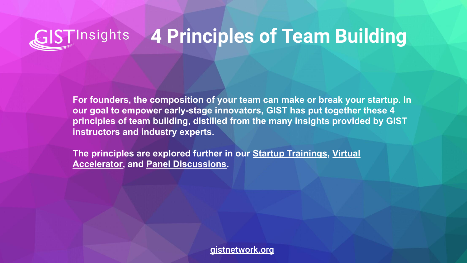## **GIST**Insights **4 Principles of Team Building**

**For founders, the composition of your team can make or break your startup. In our goal to empower early-stage innovators, GIST has put together these 4 principles of team building, distilled from the many insights provided by GIST instructors and industry experts.** 

**The principles are explored further in our [Startup Trainings,](https://www.gistnetwork.org/gist-startup-trainings) [Virtual](https://www.gistnetwork.org/va) [Accelerator](https://www.gistnetwork.org/va), and [Panel Discussions](https://www.gistnetwork.org/gist-startup-trainings).** 

[gistnetwork.org](http://gistnetwork.org)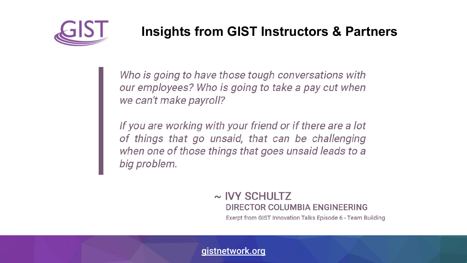

## **Insights from GIST Instructors & Partners**

Who is going to have those tough conversations with our employees? Who is going to take a pay cut when we can't make payroll?

If you are working with your friend or if there are a lot of things that go unsaid, that can be challenging when one of those things that goes unsaid leads to a big problem.

### $\sim$  IVY SCHULTZ DIRECTOR COLUMBIA ENGINEERING

Exerpt from GIST Innovation Talks Episode 6 - Team Building

[gistnetwork.org](http://gistnetwork.org)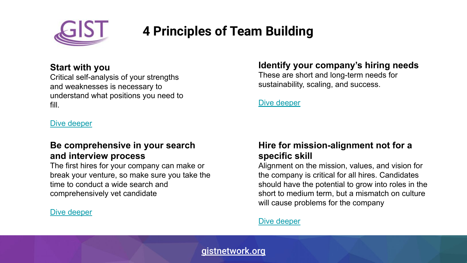

# **4 Principles of Team Building**

#### **Start with you**

Critical self-analysis of your strengths and weaknesses is necessary to understand what positions you need to fill.

[Dive deeper](https://www.entrepreneur.com/article/251736)

#### **Be comprehensive in your search and interview process**

The first hires for your company can make or break your venture, so make sure you take the time to conduct a wide search and comprehensively vet candidate

#### [Dive deeper](https://angel.co/blog/how-to-hire-your-first-10-employees)

#### **Identify your company's hiring needs**

These are short and long-term needs for sustainability, scaling, and success.

[Dive deeper](https://hbr.org/2019/05/recruiting)

#### **Hire for mission-alignment not for a specific skill**

Alignment on the mission, values, and vision for the company is critical for all hires. Candidates should have the potential to grow into roles in the short to medium term, but a mismatch on culture will cause problems for the company

#### [Dive deeper](https://hbr.org/2018/01/how-to-hire)